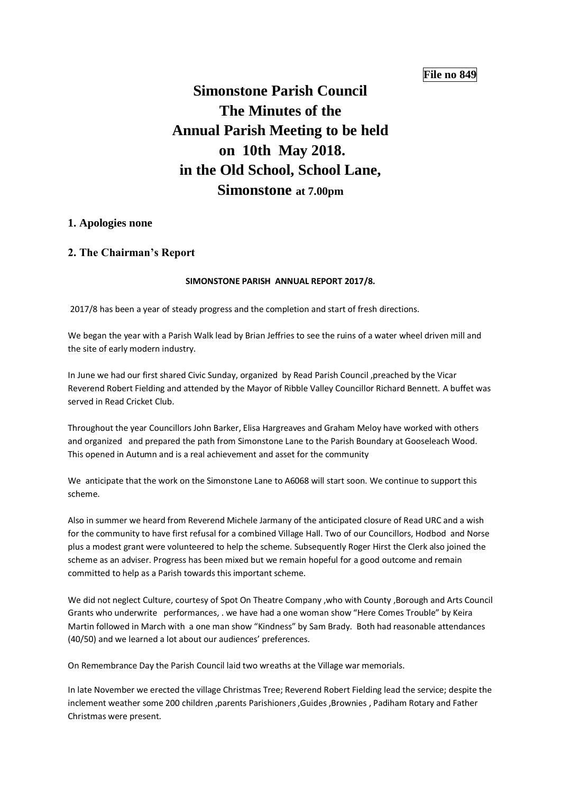## **File no 849**

# **Simonstone Parish Council The Minutes of the Annual Parish Meeting to be held on 10th May 2018. in the Old School, School Lane, Simonstone at 7.00pm**

### **1. Apologies none**

### **2. The Chairman's Report**

#### **SIMONSTONE PARISH ANNUAL REPORT 2017/8.**

2017/8 has been a year of steady progress and the completion and start of fresh directions.

We began the year with a Parish Walk lead by Brian Jeffries to see the ruins of a water wheel driven mill and the site of early modern industry.

In June we had our first shared Civic Sunday, organized by Read Parish Council ,preached by the Vicar Reverend Robert Fielding and attended by the Mayor of Ribble Valley Councillor Richard Bennett. A buffet was served in Read Cricket Club.

Throughout the year Councillors John Barker, Elisa Hargreaves and Graham Meloy have worked with others and organized and prepared the path from Simonstone Lane to the Parish Boundary at Gooseleach Wood. This opened in Autumn and is a real achievement and asset for the community

We anticipate that the work on the Simonstone Lane to A6068 will start soon. We continue to support this scheme.

Also in summer we heard from Reverend Michele Jarmany of the anticipated closure of Read URC and a wish for the community to have first refusal for a combined Village Hall. Two of our Councillors, Hodbod and Norse plus a modest grant were volunteered to help the scheme. Subsequently Roger Hirst the Clerk also joined the scheme as an adviser. Progress has been mixed but we remain hopeful for a good outcome and remain committed to help as a Parish towards this important scheme.

We did not neglect Culture, courtesy of Spot On Theatre Company ,who with County ,Borough and Arts Council Grants who underwrite performances, . we have had a one woman show "Here Comes Trouble" by Keira Martin followed in March with a one man show "Kindness" by Sam Brady. Both had reasonable attendances (40/50) and we learned a lot about our audiences' preferences.

On Remembrance Day the Parish Council laid two wreaths at the Village war memorials.

In late November we erected the village Christmas Tree; Reverend Robert Fielding lead the service; despite the inclement weather some 200 children ,parents Parishioners ,Guides ,Brownies , Padiham Rotary and Father Christmas were present.